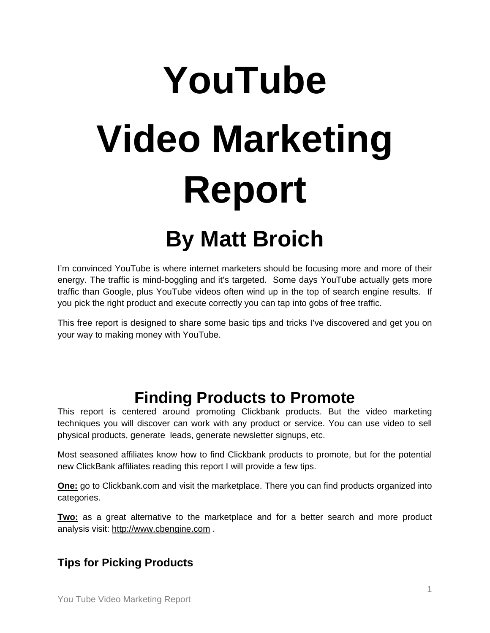# **YouTube Video Marketing Report**

## **By Matt Broich**

I'm convinced YouTube is where internet marketers should be focusing more and more of their energy. The traffic is mind-boggling and it's targeted. Some days YouTube actually gets more traffic than Google, plus YouTube videos often wind up in the top of search engine results. If you pick the right product and execute correctly you can tap into gobs of free traffic.

This free report is designed to share some basic tips and tricks I've discovered and get you on your way to making money with YouTube.

## **Finding Products to Promote**

This report is centered around promoting Clickbank products. But the video marketing techniques you will discover can work with any product or service. You can use video to sell physical products, generate leads, generate newsletter signups, etc.

Most seasoned affiliates know how to find Clickbank products to promote, but for the potential new ClickBank affiliates reading this report I will provide a few tips.

**One:** go to Clickbank.com and visit the marketplace. There you can find products organized into categories.

**Two:** as a great alternative to the marketplace and for a better search and more product analysis visit: http://www.cbengine.com .

### **Tips for Picking Products**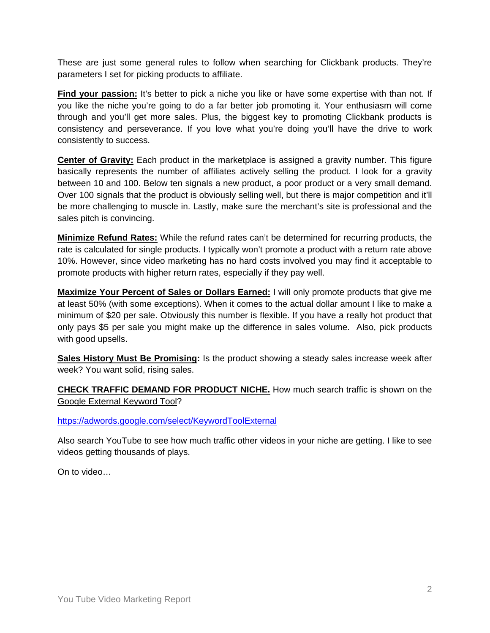These are just some general rules to follow when searching for Clickbank products. They're parameters I set for picking products to affiliate.

**Find your passion:** It's better to pick a niche you like or have some expertise with than not. If you like the niche you're going to do a far better job promoting it. Your enthusiasm will come through and you'll get more sales. Plus, the biggest key to promoting Clickbank products is consistency and perseverance. If you love what you're doing you'll have the drive to work consistently to success.

**Center of Gravity:** Each product in the marketplace is assigned a gravity number. This figure basically represents the number of affiliates actively selling the product. I look for a gravity between 10 and 100. Below ten signals a new product, a poor product or a very small demand. Over 100 signals that the product is obviously selling well, but there is major competition and it'll be more challenging to muscle in. Lastly, make sure the merchant's site is professional and the sales pitch is convincing.

**Minimize Refund Rates:** While the refund rates can't be determined for recurring products, the rate is calculated for single products. I typically won't promote a product with a return rate above 10%. However, since video marketing has no hard costs involved you may find it acceptable to promote products with higher return rates, especially if they pay well.

**Maximize Your Percent of Sales or Dollars Earned:** I will only promote products that give me at least 50% (with some exceptions). When it comes to the actual dollar amount I like to make a minimum of \$20 per sale. Obviously this number is flexible. If you have a really hot product that only pays \$5 per sale you might make up the difference in sales volume. Also, pick products with good upsells.

**Sales History Must Be Promising:** Is the product showing a steady sales increase week after week? You want solid, rising sales.

**CHECK TRAFFIC DEMAND FOR PRODUCT NICHE.** How much search traffic is shown on the Google External Keyword Tool?

https://adwords.google.com/select/KeywordToolExternal

Also search YouTube to see how much traffic other videos in your niche are getting. I like to see videos getting thousands of plays.

On to video…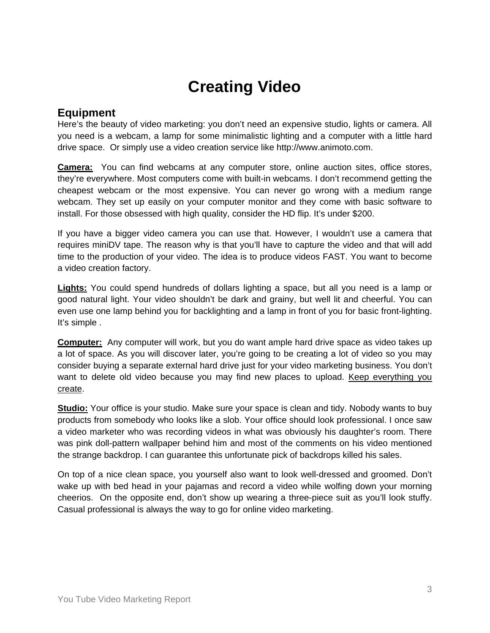## **Creating Video**

#### **Equipment**

Here's the beauty of video marketing: you don't need an expensive studio, lights or camera. All you need is a webcam, a lamp for some minimalistic lighting and a computer with a little hard drive space. Or simply use a video creation service like http://www.animoto.com.

**Camera:** You can find webcams at any computer store, online auction sites, office stores, they're everywhere. Most computers come with built-in webcams. I don't recommend getting the cheapest webcam or the most expensive. You can never go wrong with a medium range webcam. They set up easily on your computer monitor and they come with basic software to install. For those obsessed with high quality, consider the HD flip. It's under \$200.

If you have a bigger video camera you can use that. However, I wouldn't use a camera that requires miniDV tape. The reason why is that you'll have to capture the video and that will add time to the production of your video. The idea is to produce videos FAST. You want to become a video creation factory.

**Lights:** You could spend hundreds of dollars lighting a space, but all you need is a lamp or good natural light. Your video shouldn't be dark and grainy, but well lit and cheerful. You can even use one lamp behind you for backlighting and a lamp in front of you for basic front-lighting. It's simple.

**Computer:** Any computer will work, but you do want ample hard drive space as video takes up a lot of space. As you will discover later, you're going to be creating a lot of video so you may consider buying a separate external hard drive just for your video marketing business. You don't want to delete old video because you may find new places to upload. Keep everything you create.

**Studio:** Your office is your studio. Make sure your space is clean and tidy. Nobody wants to buy products from somebody who looks like a slob. Your office should look professional. I once saw a video marketer who was recording videos in what was obviously his daughter's room. There was pink doll-pattern wallpaper behind him and most of the comments on his video mentioned the strange backdrop. I can guarantee this unfortunate pick of backdrops killed his sales.

On top of a nice clean space, you yourself also want to look well-dressed and groomed. Don't wake up with bed head in your pajamas and record a video while wolfing down your morning cheerios. On the opposite end, don't show up wearing a three-piece suit as you'll look stuffy. Casual professional is always the way to go for online video marketing.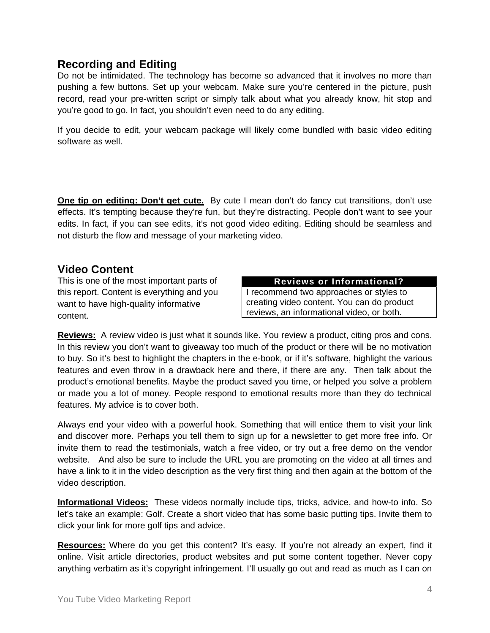**Recording and Editing**<br>Do not be intimidated. The technology has become so advanced that it involves no more than pushing a few buttons. Set up your webcam. Make sure you're centered in the picture, push record, read your pre-written script or simply talk about what you already know, hit stop and you're good to go. In fact, you shouldn't even need to do any editing.

If you decide to edit, your webcam package will likely come bundled with basic video editing software as well.

**One tip on editing: Don't get cute.** By cute I mean don't do fancy cut transitions, don't use effects. It's tempting because they're fun, but they're distracting. People don't want to see your edits. In fact, if you can see edits, it's not good video editing. Editing should be seamless and not disturb the flow and message of your marketing video.

#### **Video Content**

This is one of the most important parts of this report. Content is everything and you want to have high-quality informative content.

#### **Reviews or Informational?**

I recommend two approaches or styles to creating video content. You can do product reviews, an informational video, or both.

**Reviews:** A review video is just what it sounds like. You review a product, citing pros and cons. In this review you don't want to giveaway too much of the product or there will be no motivation to buy. So it's best to highlight the chapters in the e-book, or if it's software, highlight the various features and even throw in a drawback here and there, if there are any. Then talk about the product's emotional benefits. Maybe the product saved you time, or helped you solve a problem or made you a lot of money. People respond to emotional results more than they do technical features. My advice is to cover both.

Always end your video with a powerful hook. Something that will entice them to visit your link and discover more. Perhaps you tell them to sign up for a newsletter to get more free info. Or invite them to read the testimonials, watch a free video, or try out a free demo on the vendor website. And also be sure to include the URL you are promoting on the video at all times and have a link to it in the video description as the very first thing and then again at the bottom of the video description.

**Informational Videos:** These videos normally include tips, tricks, advice, and how-to info. So let's take an example: Golf. Create a short video that has some basic putting tips. Invite them to click your link for more golf tips and advice.

**Resources:** Where do you get this content? It's easy. If you're not already an expert, find it online. Visit article directories, product websites and put some content together. Never copy anything verbatim as it's copyright infringement. I'll usually go out and read as much as I can on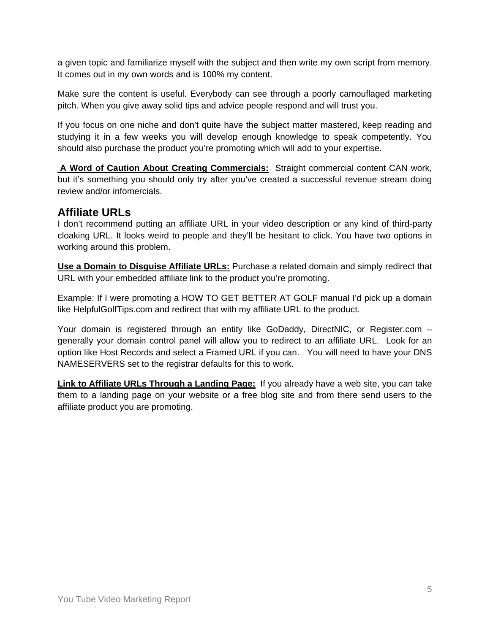a given topic and familiarize myself with the subject and then write my own script from memory. It comes out in my own words and is 100% my content.

Make sure the content is useful. Everybody can see through a poorly camouflaged marketing pitch. When you give away solid tips and advice people respond and will trust you.

If you focus on one niche and don't quite have the subject matter mastered, keep reading and studying it in a few weeks you will develop enough knowledge to speak competently. You should also purchase the product you're promoting which will add to your expertise.

 **A Word of Caution About Creating Commercials:** Straight commercial content CAN work, but it's something you should only try after you've created a successful revenue stream doing review and/or infomercials.

#### **Affiliate URLs**

I don't recommend putting an affiliate URL in your video description or any kind of third-party cloaking URL. It looks weird to people and they'll be hesitant to click. You have two options in working around this problem.

**Use a Domain to Disguise Affiliate URLs:** Purchase a related domain and simply redirect that URL with your embedded affiliate link to the product you're promoting.

Example: If I were promoting a HOW TO GET BETTER AT GOLF manual I'd pick up a domain like HelpfulGolfTips.com and redirect that with my affiliate URL to the product.

Your domain is registered through an entity like GoDaddy, DirectNIC, or Register.com – generally your domain control panel will allow you to redirect to an affiliate URL. Look for an option like Host Records and select a Framed URL if you can. You will need to have your DNS NAMESERVERS set to the registrar defaults for this to work.

**Link to Affiliate URLs Through a Landing Page:** If you already have a web site, you can take them to a landing page on your website or a free blog site and from there send users to the affiliate product you are promoting.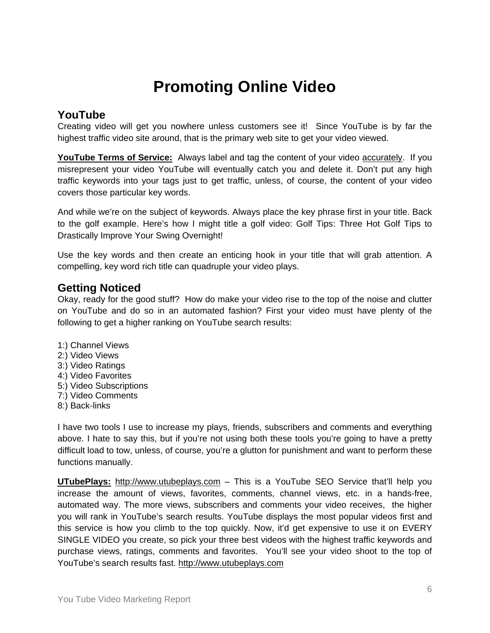## **Promoting Online Video**

#### **YouTube**

Creating video will get you nowhere unless customers see it! Since YouTube is by far the highest traffic video site around, that is the primary web site to get your video viewed.

**YouTube Terms of Service:** Always label and tag the content of your video accurately. If you misrepresent your video YouTube will eventually catch you and delete it. Don't put any high traffic keywords into your tags just to get traffic, unless, of course, the content of your video covers those particular key words.

And while we're on the subject of keywords. Always place the key phrase first in your title. Back to the golf example. Here's how I might title a golf video: Golf Tips: Three Hot Golf Tips to Drastically Improve Your Swing Overnight!

Use the key words and then create an enticing hook in your title that will grab attention. A compelling, key word rich title can quadruple your video plays.

#### **Getting Noticed**

Okay, ready for the good stuff?How do make your video rise to the top of the noise and clutter on YouTube and do so in an automated fashion? First your video must have plenty of the following to get a higher ranking on YouTube search results:

1:) Channel Views 2:) Video Views 3:) Video Ratings 4:) Video Favorites 5:) Video Subscriptions 7:) Video Comments 8:) Back-links

I have two tools I use to increase my plays, friends, subscribers and comments and everything above. I hate to say this, but if you're not using both these tools you're going to have a pretty difficult load to tow, unless, of course, you're a glutton for punishment and want to perform these functions manually.

**UTubePlays:** http://www.utubeplays.com – This is a YouTube SEO Service that'll help you increase the amount of views, favorites, comments, channel views, etc. in a hands-free, automated way. The more views, subscribers and comments your video receives, the higher you will rank in YouTube's search results. YouTube displays the most popular videos first and this service is how you climb to the top quickly. Now, it'd get expensive to use it on EVERY SINGLE VIDEO you create, so pick your three best videos with the highest traffic keywords and purchase views, ratings, comments and favorites. You'll see your video shoot to the top of YouTube's search results fast. http://www.utubeplays.com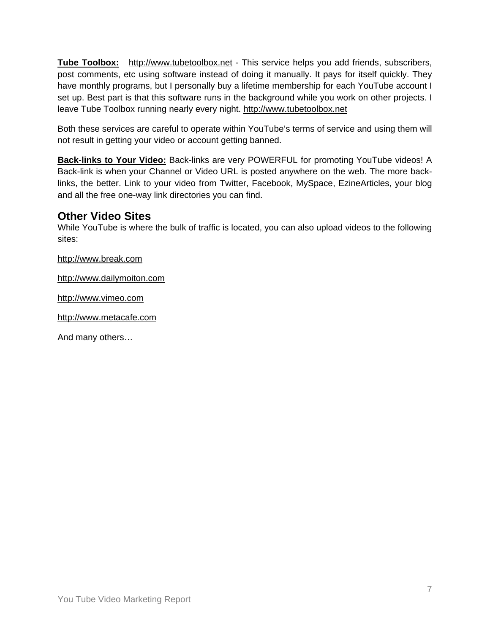**Tube Toolbox:** http://www.tubetoolbox.net - This service helps you add friends, subscribers, post comments, etc using software instead of doing it manually. It pays for itself quickly. They have monthly programs, but I personally buy a lifetime membership for each YouTube account I set up. Best part is that this software runs in the background while you work on other projects. I leave Tube Toolbox running nearly every night. http://www.tubetoolbox.net

Both these services are careful to operate within YouTube's terms of service and using them will not result in getting your video or account getting banned.

**Back-links to Your Video:** Back-links are very POWERFUL for promoting YouTube videos! A Back-link is when your Channel or Video URL is posted anywhere on the web. The more backlinks, the better. Link to your video from Twitter, Facebook, MySpace, EzineArticles, your blog and all the free one-way link directories you can find.

### **Other Video Sites**

While YouTube is where the bulk of traffic is located, you can also upload videos to the following sites:

http://www.break.com

http://www.dailymoiton.com

http://www.vimeo.com

http://www.metacafe.com

And many others…